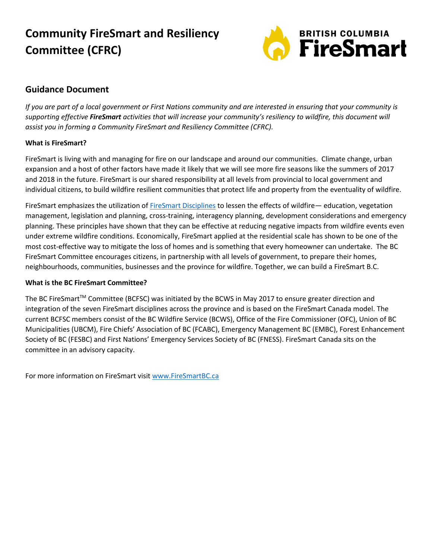# **Community FireSmart and Resiliency Committee (CFRC)**



### **Guidance Document**

*If you are part of a local government or First Nations community and are interested in ensuring that your community is supporting effective FireSmart activities that will increase your community's resiliency to wildfire, this document will assist you in forming a Community FireSmart and Resiliency Committee (CFRC).*

#### **What is FireSmart?**

FireSmart is living with and managing for fire on our landscape and around our communities. Climate change, urban expansion and a host of other factors have made it likely that we will see more fire seasons like the summers of 2017 and 2018 in the future. FireSmart is our shared responsibility at all levels from provincial to local government and individual citizens, to build wildfire resilient communities that protect life and property from the eventuality of wildfire.

FireSmart emphasizes the utilization o[f FireSmart Disciplines](https://firesmartbc.ca/wp-content/uploads/2020/04/Factsheet_Seven_FireSmart_Disciplines.pdf) to lessen the effects of wildfire— education, vegetation management, legislation and planning, cross-training, interagency planning, development considerations and emergency planning. These principles have shown that they can be effective at reducing negative impacts from wildfire events even under extreme wildfire conditions. Economically, FireSmart applied at the residential scale has shown to be one of the most cost-effective way to mitigate the loss of homes and is something that every homeowner can undertake. The BC FireSmart Committee encourages citizens, in partnership with all levels of government, to prepare their homes, neighbourhoods, communities, businesses and the province for wildfire. Together, we can build a FireSmart B.C.

#### **What is the BC FireSmart Committee?**

The BC FireSmart™ Committee (BCFSC) was initiated by the BCWS in May 2017 to ensure greater direction and integration of the seven FireSmart disciplines across the province and is based on the FireSmart Canada model. The current BCFSC members consist of the BC Wildfire Service (BCWS), Office of the Fire Commissioner (OFC), Union of BC Municipalities (UBCM), Fire Chiefs' Association of BC (FCABC), Emergency Management BC (EMBC), Forest Enhancement Society of BC (FESBC) and First Nations' Emergency Services Society of BC (FNESS). FireSmart Canada sits on the committee in an advisory capacity.

For more information on FireSmart visit [www.FireSmartBC.ca](http://www.firesmartbc.ca/)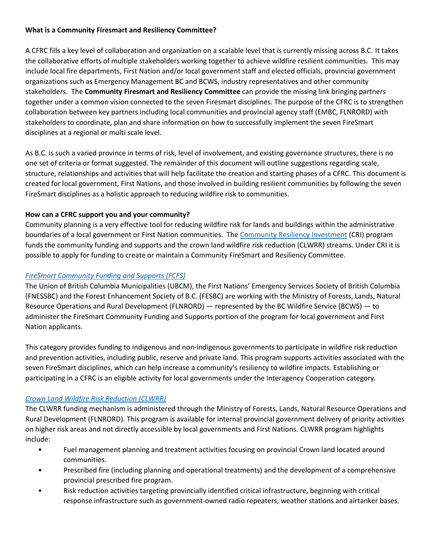#### **What is a Community Firesmart and Resiliency Committee?**

A CFRC fills a key level of collaboration and organization on a scalable level that is currently missing across B.C. It takes the collaborative efforts of multiple stakeholders working together to achieve wildfire resilient communities. This may include local fire departments, First Nation and/or local government staff and elected officials, provincial government organizations such as Emergency Management BC and BCWS, industry representatives and other community stakeholders. The **Community Firesmart and Resiliency Committee** can provide the missing link bringing partners together under a common vision connected to the seven Firesmart disciplines. The purpose of the CFRC is to strengthen collaboration between key partners including local communities and provincial agency staff (EMBC, FLNRORD) with stakeholders to coordinate, plan and share information on how to successfully implement the seven FireSmart disciplines at a regional or multi scale level.

As B.C. is such a varied province in terms of risk, level of involvement, and existing governance structures, there is no one set of criteria or format suggested. The remainder of this document will outline suggestions regarding scale, structure, relationships and activities that will help facilitate the creation and starting phases of a CFRC. This document is created for local government, First Nations, and those involved in building resilient communities by following the seven FireSmart disciplines as a holistic approach to reducing wildfire risk to communities.

#### **How can a CFRC support you and your community?**

Community planning is a very effective tool for reducing wildfire risk for lands and buildings within the administrative boundaries of a local government or First Nation communities. The [Community Resiliency Investment](https://www2.gov.bc.ca/gov/content/safety/wildfire-status/prevention/funding-for-wildfire-prevention/crip) (CRI) program funds the community funding and supports and the crown land wildfire risk reduction (CLWRR) streams. Under CRI it is possible to apply for funding to create or maintain a Community FireSmart and Resiliency Committee.

#### *[FireSmart Community Funding and Supports](https://www2.gov.bc.ca/gov/content/safety/wildfire-status/prevention/funding-for-wildfire-prevention/crip/fcfs) (FCFS)*

The Union of British Columbia Municipalities (UBCM), the First Nations' Emergency Services Society of British Columbia (FNESSBC) and the Forest Enhancement Society of B.C. (FESBC) are working with the Ministry of Forests, Lands, Natural Resource Operations and Rural Development (FLNRORD) — represented by the BC Wildfire Service (BCWS) — to administer the FireSmart Community Funding and Supports portion of the program for local government and First Nation applicants.

This category provides funding to indigenous and non-indigenous governments to participate in wildfire risk reduction and prevention activities, including public, reserve and private land. This program supports activities associated with the seven FireSmart disciplines, which can help increase a community's resiliency to wildfire impacts. Establishing or participating in a CFRC is an eligible activity for local governments under the Interagency Cooperation category.

#### *[Crown Land Wildfire Risk Reduction \(CLWRR\)](https://www2.gov.bc.ca/gov/content/safety/wildfire-status/prevention/funding-for-wildfire-prevention/crip/wrr)*

The CLWRR funding mechanism is administered through the Ministry of Forests, Lands, Natural Resource Operations and Rural Development (FLNRORD). This program is available for internal provincial government delivery of priority activities on higher risk areas and not directly accessible by local governments and First Nations. CLWRR program highlights include:

- Fuel management planning and treatment activities focusing on provincial Crown land located around communities.
- Prescribed fire (including planning and operational treatments) and the development of a comprehensive provincial prescribed fire program.
- Risk reduction activities targeting provincially identified critical infrastructure, beginning with critical response infrastructure such as government-owned radio repeaters, weather stations and airtanker bases.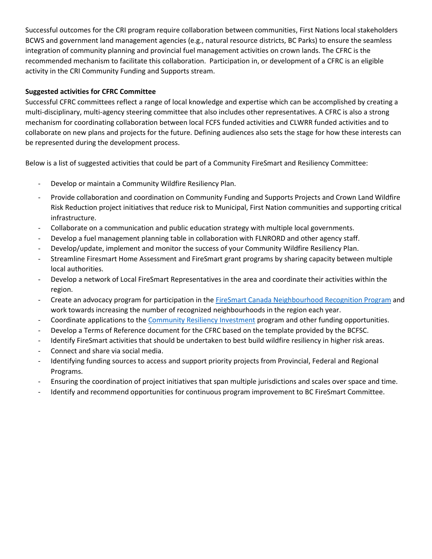Successful outcomes for the CRI program require collaboration between communities, First Nations local stakeholders BCWS and government land management agencies (e.g., natural resource districts, BC Parks) to ensure the seamless integration of community planning and provincial fuel management activities on crown lands. The CFRC is the recommended mechanism to facilitate this collaboration. Participation in, or development of a CFRC is an eligible activity in the CRI Community Funding and Supports stream.

#### **Suggested activities for CFRC Committee**

Successful CFRC committees reflect a range of local knowledge and expertise which can be accomplished by creating a multi-disciplinary, multi-agency steering committee that also includes other representatives. A CFRC is also a strong mechanism for coordinating collaboration between local FCFS funded activities and CLWRR funded activities and to collaborate on new plans and projects for the future. Defining audiences also sets the stage for how these interests can be represented during the development process.

Below is a list of suggested activities that could be part of a Community FireSmart and Resiliency Committee:

- Develop or maintain a Community Wildfire Resiliency Plan.
- Provide collaboration and coordination on Community Funding and Supports Projects and Crown Land Wildfire Risk Reduction project initiatives that reduce risk to Municipal, First Nation communities and supporting critical infrastructure.
- Collaborate on a communication and public education strategy with multiple local governments.
- Develop a fuel management planning table in collaboration with FLNRORD and other agency staff.
- Develop/update, implement and monitor the success of your Community Wildfire Resiliency Plan.
- Streamline Firesmart Home Assessment and FireSmart grant programs by sharing capacity between multiple local authorities.
- Develop a network of Local FireSmart Representatives in the area and coordinate their activities within the region.
- Create an advocacy program for participation in the FireSmart Canada Neighbourhood [Recognition Program](https://www.firesmartcanada.ca/firesmart-communities/firesmart-canada-community-recognition-program/) and work towards increasing the number of recognized neighbourhoods in the region each year.
- Coordinate applications to the [Community Resiliency Investment](http://www.ubcm.ca/cri) program and other funding opportunities.
- Develop a Terms of Reference document for the CFRC based on the template provided by the BCFSC.
- Identify FireSmart activities that should be undertaken to best build wildfire resiliency in higher risk areas.
- Connect and share via social media.
- Identifying funding sources to access and support priority projects from Provincial, Federal and Regional Programs.
- Ensuring the coordination of project initiatives that span multiple jurisdictions and scales over space and time.
- Identify and recommend opportunities for continuous program improvement to BC FireSmart Committee.